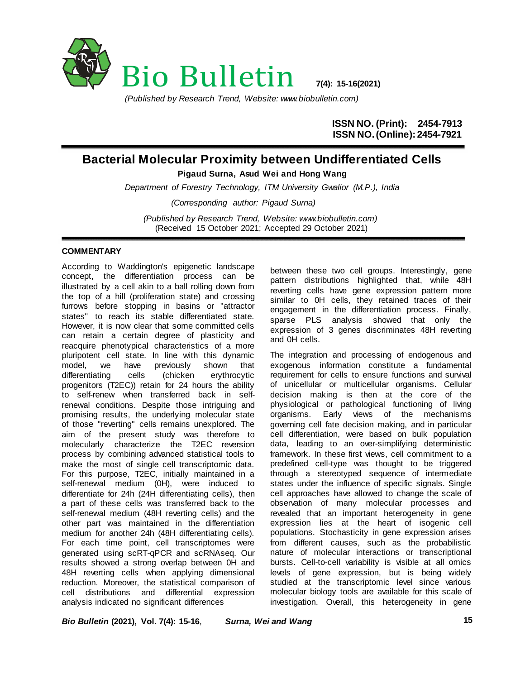

*(Published by Research Trend, Website: www.biobulletin.com)*

**ISSN NO. (Print): 2454-7913 ISSN NO.(Online): 2454-7921**

## **Bacterial Molecular Proximity between Undifferentiated Cells**

**Pigaud Surna, Asud Wei and Hong Wang**

*Department of Forestry Technology, ITM University Gwalior (M.P.), India (Corresponding author: Pigaud Surna)*

*(Published by Research Trend, Website: [www.biobulletin.com\)](http://www.biobulletin.com/)* (Received 15 October 2021; Accepted 29 October 2021)

## **COMMENTARY**

According to Waddington's epigenetic landscape concept, the differentiation process can be illustrated by a cell akin to a ball rolling down from the top of a hill (proliferation state) and crossing furrows before stopping in basins or "attractor states" to reach its stable differentiated state. However, it is now clear that some committed cells can retain a certain degree of plasticity and reacquire phenotypical characteristics of a more pluripotent cell state. In line with this dynamic model, we have previously shown that differentiating cells (chicken erythrocytic progenitors (T2EC)) retain for 24 hours the ability to self-renew when transferred back in selfrenewal conditions. Despite those intriguing and promising results, the underlying molecular state of those "reverting" cells remains unexplored. The aim of the present study was therefore to molecularly characterize the T2EC reversion process by combining advanced statistical tools to make the most of single cell transcriptomic data. For this purpose, T2EC, initially maintained in a self-renewal medium (0H), were induced to differentiate for 24h (24H differentiating cells), then a part of these cells was transferred back to the self-renewal medium (48H reverting cells) and the other part was maintained in the differentiation medium for another 24h (48H differentiating cells). For each time point, cell transcriptomes were generated using scRT-qPCR and scRNAseq. Our results showed a strong overlap between 0H and 48H reverting cells when applying dimensional reduction. Moreover, the statistical comparison of cell distributions and differential expression analysis indicated no significant differences

between these two cell groups. Interestingly, gene pattern distributions highlighted that, while 48H reverting cells have gene expression pattern more similar to 0H cells, they retained traces of their engagement in the differentiation process. Finally, sparse PLS analysis showed that only the expression of 3 genes discriminates 48H reverting and 0H cells.

The integration and processing of endogenous and exogenous information constitute a fundamental requirement for cells to ensure functions and survival of unicellular or multicellular organisms. Cellular decision making is then at the core of the physiological or pathological functioning of living organisms. Early views of the mechanisms governing cell fate decision making, and in particular cell differentiation, were based on bulk population data, leading to an over-simplifying deterministic framework. In these first views, cell commitment to a predefined cell-type was thought to be triggered through a stereotyped sequence of intermediate states under the influence of specific signals. Single cell approaches have allowed to change the scale of observation of many molecular processes and revealed that an important heterogeneity in gene expression lies at the heart of isogenic cell populations. Stochasticity in gene expression arises from different causes, such as the probabilistic nature of molecular interactions or transcriptional bursts. Cell-to-cell variability is visible at all omics levels of gene expression, but is being widely studied at the transcriptomic level since various molecular biology tools are available for this scale of investigation. Overall, this heterogeneity in gene

*Bio Bulletin* **(2021), Vol. 7(4): 15-16**, *Surna, Wei and Wang*